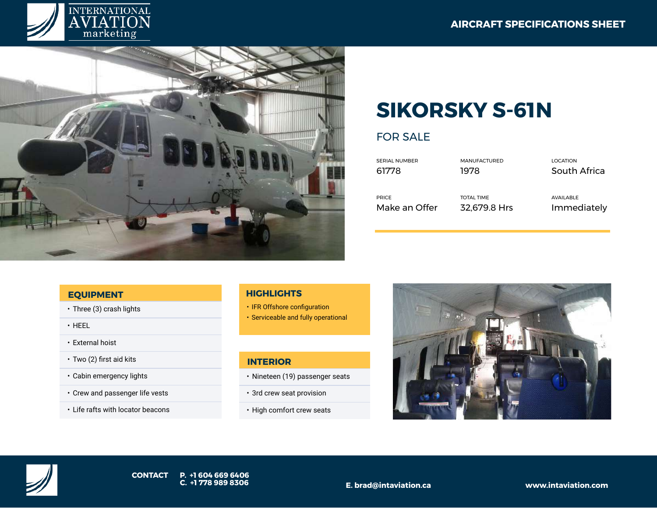



# **SIKORSKY S-61N**

# FOR SALE

| <b>SERIAL NUMBER</b> | <b>MANUFACTURED</b> | <b>LOCATION</b> |
|----------------------|---------------------|-----------------|
| 61778                | 1978                | South Africa    |
| <b>PRICE</b>         | <b>TOTAL TIME</b>   | AVAILABLE       |
| Make an Offer        | 32,679.8 Hrs        | Immediately     |

#### **EQUIPMENT**

- Three (3) crash lights
- HEEL
- External hoist
- Two (2) first aid kits
- Cabin emergency lights
- Crew and passenger life vests
- Life rafts with locator beacons

### **HIGHLIGHTS**

- IFR Offshore configuration
- Serviceable and fully operational

## **INTERIOR**

- Nineteen (19) passenger seats
- 3rd crew seat provision
- High comfort crew seats